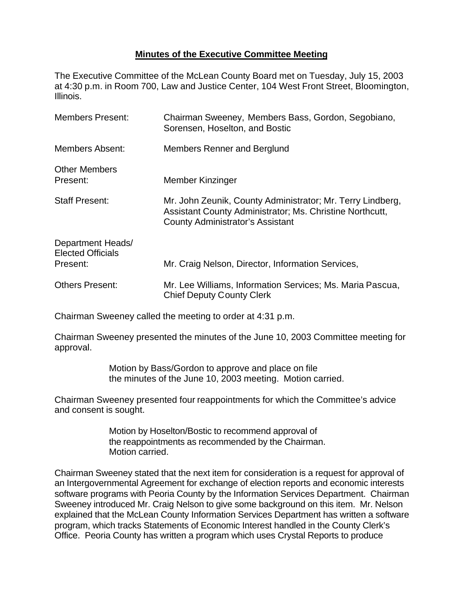## **Minutes of the Executive Committee Meeting**

The Executive Committee of the McLean County Board met on Tuesday, July 15, 2003 at 4:30 p.m. in Room 700, Law and Justice Center, 104 West Front Street, Bloomington, Illinois.

| <b>Members Present:</b>                                   | Chairman Sweeney, Members Bass, Gordon, Segobiano,<br>Sorensen, Hoselton, and Bostic                                                                              |
|-----------------------------------------------------------|-------------------------------------------------------------------------------------------------------------------------------------------------------------------|
| Members Absent:                                           | Members Renner and Berglund                                                                                                                                       |
| <b>Other Members</b><br>Present:                          | Member Kinzinger                                                                                                                                                  |
| <b>Staff Present:</b>                                     | Mr. John Zeunik, County Administrator; Mr. Terry Lindberg,<br>Assistant County Administrator; Ms. Christine Northcutt,<br><b>County Administrator's Assistant</b> |
| Department Heads/<br><b>Elected Officials</b><br>Present: | Mr. Craig Nelson, Director, Information Services,                                                                                                                 |
|                                                           |                                                                                                                                                                   |
| <b>Others Present:</b>                                    | Mr. Lee Williams, Information Services; Ms. Maria Pascua,<br><b>Chief Deputy County Clerk</b>                                                                     |

Chairman Sweeney called the meeting to order at 4:31 p.m.

Chairman Sweeney presented the minutes of the June 10, 2003 Committee meeting for approval.

> Motion by Bass/Gordon to approve and place on file the minutes of the June 10, 2003 meeting. Motion carried.

Chairman Sweeney presented four reappointments for which the Committee's advice and consent is sought.

> Motion by Hoselton/Bostic to recommend approval of the reappointments as recommended by the Chairman. Motion carried.

Chairman Sweeney stated that the next item for consideration is a request for approval of an Intergovernmental Agreement for exchange of election reports and economic interests software programs with Peoria County by the Information Services Department. Chairman Sweeney introduced Mr. Craig Nelson to give some background on this item. Mr. Nelson explained that the McLean County Information Services Department has written a software program, which tracks Statements of Economic Interest handled in the County Clerk's Office. Peoria County has written a program which uses Crystal Reports to produce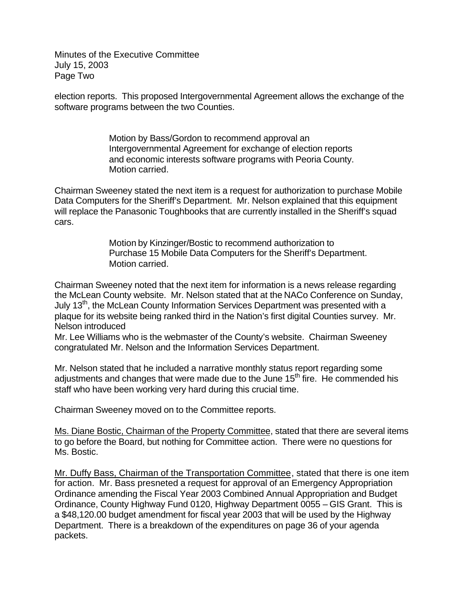Minutes of the Executive Committee July 15, 2003 Page Two

election reports. This proposed Intergovernmental Agreement allows the exchange of the software programs between the two Counties.

> Motion by Bass/Gordon to recommend approval an Intergovernmental Agreement for exchange of election reports and economic interests software programs with Peoria County. Motion carried.

Chairman Sweeney stated the next item is a request for authorization to purchase Mobile Data Computers for the Sheriff's Department. Mr. Nelson explained that this equipment will replace the Panasonic Toughbooks that are currently installed in the Sheriff's squad cars.

> Motion by Kinzinger/Bostic to recommend authorization to Purchase 15 Mobile Data Computers for the Sheriff's Department. Motion carried.

Chairman Sweeney noted that the next item for information is a news release regarding the McLean County website. Mr. Nelson stated that at the NACo Conference on Sunday, July 13<sup>th</sup>, the McLean County Information Services Department was presented with a plaque for its website being ranked third in the Nation's first digital Counties survey. Mr. Nelson introduced

Mr. Lee Williams who is the webmaster of the County's website. Chairman Sweeney congratulated Mr. Nelson and the Information Services Department.

Mr. Nelson stated that he included a narrative monthly status report regarding some adjustments and changes that were made due to the June  $15<sup>th</sup>$  fire. He commended his staff who have been working very hard during this crucial time.

Chairman Sweeney moved on to the Committee reports.

Ms. Diane Bostic, Chairman of the Property Committee, stated that there are several items to go before the Board, but nothing for Committee action. There were no questions for Ms. Bostic.

Mr. Duffy Bass, Chairman of the Transportation Committee, stated that there is one item for action. Mr. Bass presneted a request for approval of an Emergency Appropriation Ordinance amending the Fiscal Year 2003 Combined Annual Appropriation and Budget Ordinance, County Highway Fund 0120, Highway Department 0055 – GIS Grant. This is a \$48,120.00 budget amendment for fiscal year 2003 that will be used by the Highway Department. There is a breakdown of the expenditures on page 36 of your agenda packets.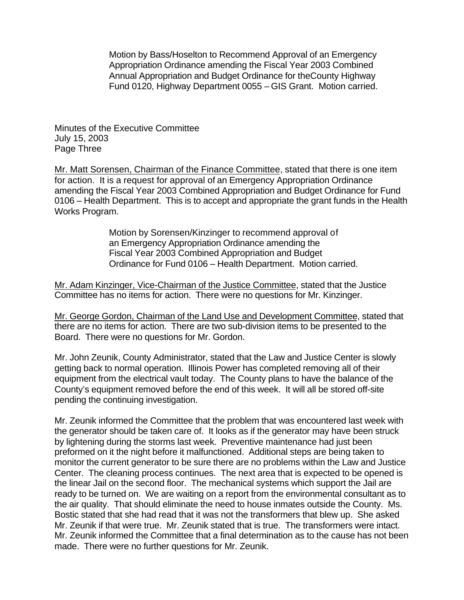Motion by Bass/Hoselton to Recommend Approval of an Emergency Appropriation Ordinance amending the Fiscal Year 2003 Combined Annual Appropriation and Budget Ordinance for theCounty Highway Fund 0120, Highway Department 0055 – GIS Grant. Motion carried.

Minutes of the Executive Committee July 15, 2003 Page Three

Mr. Matt Sorensen, Chairman of the Finance Committee, stated that there is one item for action. It is a request for approval of an Emergency Appropriation Ordinance amending the Fiscal Year 2003 Combined Appropriation and Budget Ordinance for Fund 0106 – Health Department. This is to accept and appropriate the grant funds in the Health Works Program.

> Motion by Sorensen/Kinzinger to recommend approval of an Emergency Appropriation Ordinance amending the Fiscal Year 2003 Combined Appropriation and Budget Ordinance for Fund 0106 – Health Department. Motion carried.

Mr. Adam Kinzinger, Vice-Chairman of the Justice Committee, stated that the Justice Committee has no items for action. There were no questions for Mr. Kinzinger.

Mr. George Gordon, Chairman of the Land Use and Development Committee, stated that there are no items for action. There are two sub-division items to be presented to the Board. There were no questions for Mr. Gordon.

Mr. John Zeunik, County Administrator, stated that the Law and Justice Center is slowly getting back to normal operation. Illinois Power has completed removing all of their equipment from the electrical vault today. The County plans to have the balance of the County's equipment removed before the end of this week. It will all be stored off-site pending the continuing investigation.

Mr. Zeunik informed the Committee that the problem that was encountered last week with the generator should be taken care of. It looks as if the generator may have been struck by lightening during the storms last week. Preventive maintenance had just been preformed on it the night before it malfunctioned. Additional steps are being taken to monitor the current generator to be sure there are no problems within the Law and Justice Center. The cleaning process continues. The next area that is expected to be opened is the linear Jail on the second floor. The mechanical systems which support the Jail are ready to be turned on. We are waiting on a report from the environmental consultant as to the air quality. That should eliminate the need to house inmates outside the County. Ms. Bostic stated that she had read that it was not the transformers that blew up. She asked Mr. Zeunik if that were true. Mr. Zeunik stated that is true. The transformers were intact. Mr. Zeunik informed the Committee that a final determination as to the cause has not been made. There were no further questions for Mr. Zeunik.